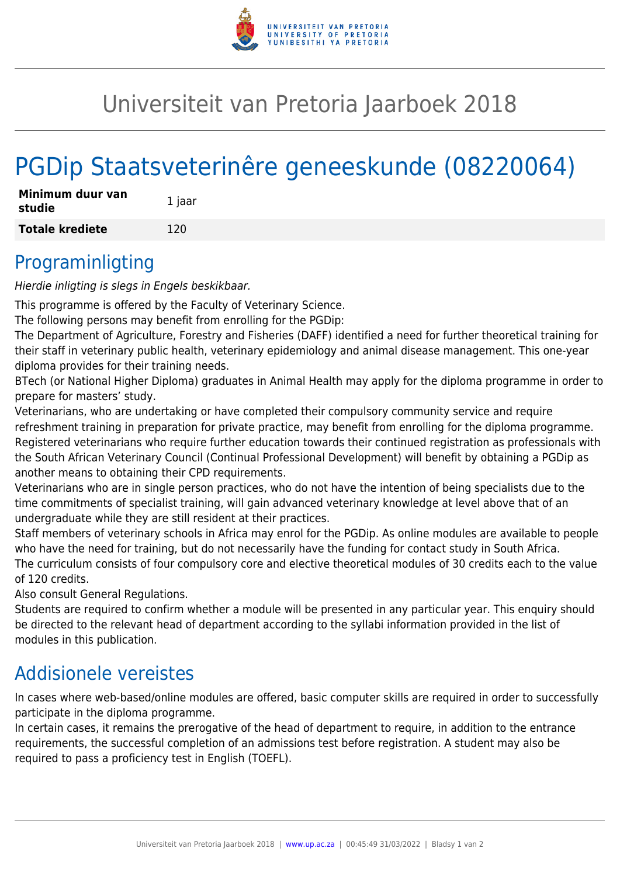

# Universiteit van Pretoria Jaarboek 2018

# PGDip Staatsveterinêre geneeskunde (08220064)

| Minimum duur van<br>studie | 1 jaar |
|----------------------------|--------|
| <b>Totale krediete</b>     | 120    |

#### Programinligting

Hierdie inligting is slegs in Engels beskikbaar.

This programme is offered by the Faculty of Veterinary Science.

The following persons may benefit from enrolling for the PGDip:

The Department of Agriculture, Forestry and Fisheries (DAFF) identified a need for further theoretical training for their staff in veterinary public health, veterinary epidemiology and animal disease management. This one-year diploma provides for their training needs.

BTech (or National Higher Diploma) graduates in Animal Health may apply for the diploma programme in order to prepare for masters' study.

Veterinarians, who are undertaking or have completed their compulsory community service and require refreshment training in preparation for private practice, may benefit from enrolling for the diploma programme. Registered veterinarians who require further education towards their continued registration as professionals with the South African Veterinary Council (Continual Professional Development) will benefit by obtaining a PGDip as another means to obtaining their CPD requirements.

Veterinarians who are in single person practices, who do not have the intention of being specialists due to the time commitments of specialist training, will gain advanced veterinary knowledge at level above that of an undergraduate while they are still resident at their practices.

Staff members of veterinary schools in Africa may enrol for the PGDip. As online modules are available to people who have the need for training, but do not necessarily have the funding for contact study in South Africa. The curriculum consists of four compulsory core and elective theoretical modules of 30 credits each to the value of 120 credits.

Also consult General Regulations.

Students are required to confirm whether a module will be presented in any particular year. This enquiry should be directed to the relevant head of department according to the syllabi information provided in the list of modules in this publication.

#### Addisionele vereistes

In cases where web-based/online modules are offered, basic computer skills are required in order to successfully participate in the diploma programme.

In certain cases, it remains the prerogative of the head of department to require, in addition to the entrance requirements, the successful completion of an admissions test before registration. A student may also be required to pass a proficiency test in English (TOEFL).